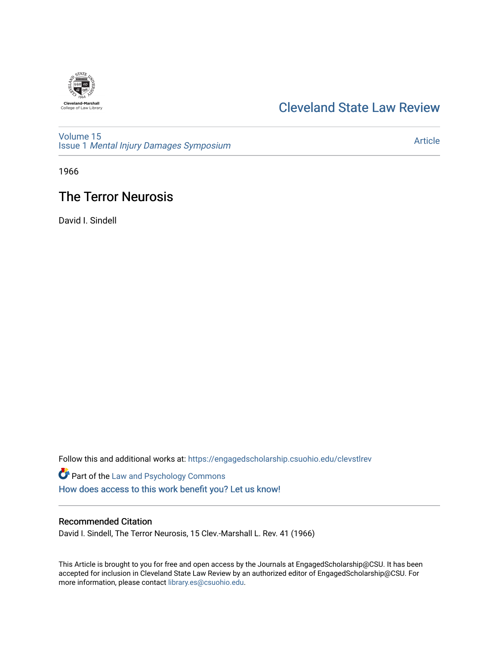

# [Cleveland State Law Review](https://engagedscholarship.csuohio.edu/clevstlrev)

[Volume 15](https://engagedscholarship.csuohio.edu/clevstlrev/vol15) Issue 1 [Mental Injury Damages Symposium](https://engagedscholarship.csuohio.edu/clevstlrev/vol15/iss1) 

[Article](https://engagedscholarship.csuohio.edu/clevstlrev/vol15/iss1/6) 

1966

# The Terror Neurosis

David I. Sindell

Follow this and additional works at: [https://engagedscholarship.csuohio.edu/clevstlrev](https://engagedscholarship.csuohio.edu/clevstlrev?utm_source=engagedscholarship.csuohio.edu%2Fclevstlrev%2Fvol15%2Fiss1%2F6&utm_medium=PDF&utm_campaign=PDFCoverPages)

Part of the [Law and Psychology Commons](http://network.bepress.com/hgg/discipline/870?utm_source=engagedscholarship.csuohio.edu%2Fclevstlrev%2Fvol15%2Fiss1%2F6&utm_medium=PDF&utm_campaign=PDFCoverPages)  [How does access to this work benefit you? Let us know!](http://library.csuohio.edu/engaged/)

## Recommended Citation

David I. Sindell, The Terror Neurosis, 15 Clev.-Marshall L. Rev. 41 (1966)

This Article is brought to you for free and open access by the Journals at EngagedScholarship@CSU. It has been accepted for inclusion in Cleveland State Law Review by an authorized editor of EngagedScholarship@CSU. For more information, please contact [library.es@csuohio.edu](mailto:library.es@csuohio.edu).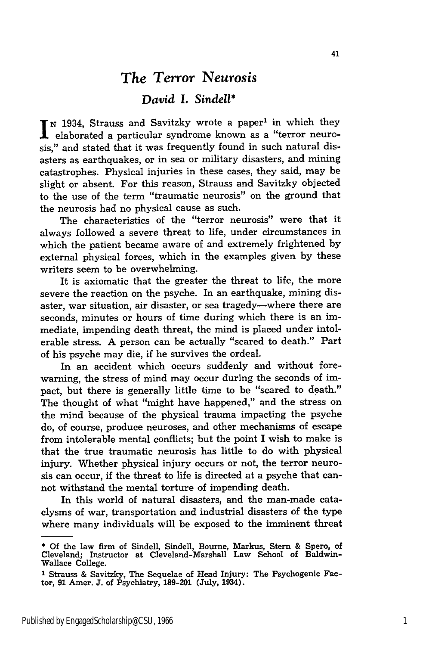## *The Terror Neurosis*

### *David I. Sindell\**

**N** 1934, Strauss and Savitzky wrote a paper' in which they elaborated a particular syndrome known as a "terror neurosis," and stated that it was frequently found in such natural disasters as earthquakes, or in sea or military disasters, and mining catastrophes. Physical injuries in these cases, they said, may be slight or absent. For this reason, Strauss and Savitzky objected to the use of the term "traumatic neurosis" on the ground that the neurosis had no physical cause as such.

The characteristics of the "terror neurosis" were that it always followed a severe threat to life, under circumstances in which the patient became aware of and extremely frightened by external physical forces, which in the examples given by these writers seem to be overwhelming.

It is axiomatic that the greater the threat to life, the more severe the reaction on the psyche. In an earthquake, mining disaster, war situation, air disaster, or sea tragedy-where there are seconds, minutes or hours of time during which there is an immediate, impending death threat, the mind is placed under intolerable stress. **A** person can be actually "scared to death." Part of his psyche may die, if he survives the ordeal.

In an accident which occurs suddenly and without forewarning, the stress of mind may occur during the seconds of impact, but there is generally little time to be "scared to death." The thought of what "might have happened," and the stress on the mind because of the physical trauma impacting the psyche do, of course, produce neuroses, and other mechanisms of escape from intolerable mental conflicts; but the point I wish to make is that the true traumatic neurosis has little to do with physical injury. Whether physical injury occurs or not, the terror neurosis can occur, if the threat to life is directed at a psyche that cannot withstand the mental torture of impending death.

In this world of natural disasters, and the man-made cataclysms of war, transportation and industrial disasters of the type where many individuals will be exposed to the imminent threat

**<sup>\*</sup> Of** the law firm of Sindell, Sindell, Bourne, Markus, Stern & Spero, of Cleveland; Instructor at Cleveland-Marshall Law School of Baldwin-Wallace College.

<sup>1</sup> Strauss **&** Savitzky, The Sequelae of Head Injury: The Psychogenic Factor, **91** Amer. **J.** of Psychiatry, **189-201** (July, 1934).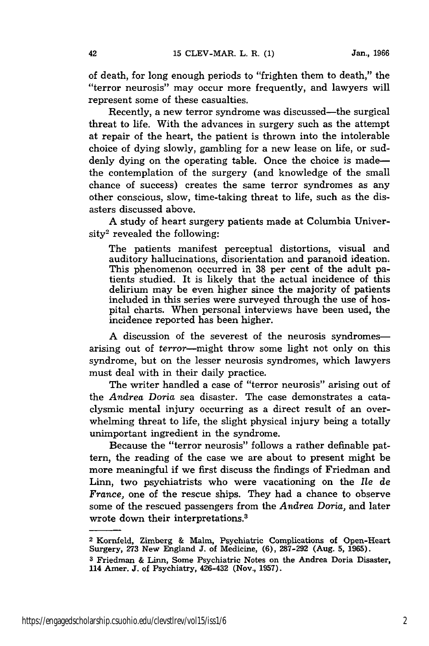of death, for long enough periods to "frighten them to death," the "terror neurosis" may occur more frequently, and lawyers will represent some of these casualties.

Recently, a new terror syndrome was discussed—the surgical threat to life. With the advances in surgery such as the attempt at repair of the heart, the patient is thrown into the intolerable choice of dying slowly, gambling for a new lease on life, or suddenly dying on the operating table. Once the choice is madethe contemplation of the surgery (and knowledge of the small chance of success) creates the same terror syndromes as any other conscious, slow, time-taking threat to life, such as the disasters discussed above.

A study of heart surgery patients made at Columbia Univer $sity<sup>2</sup>$  revealed the following:

The patients manifest perceptual distortions, visual and auditory hallucinations, disorientation and paranoid ideation. This phenomenon occurred in **38** per cent of the adult patients studied. It is likely that the actual incidence of this delirium may be even higher since the majority of patients included in this series were surveyed through the use of hospital charts. When personal interviews have been used, the incidence reported has been higher.

A discussion of the severest of the neurosis syndromesarising out of terror-might throw some light not only on this syndrome, but on the lesser neurosis syndromes, which lawyers must deal with in their daily practice.

The writer handled a case of "terror neurosis" arising out of the *Andrea Doria* sea disaster. The case demonstrates a cataclysmic mental injury occurring as a direct result of an overwhelming threat to life, the slight physical injury being a totally unimportant ingredient in the syndrome.

Because the "terror neurosis" follows a rather definable pattern, the reading of the case we are about to present might be more meaningful if we first discuss the findings of Friedman and Linn, two psychiatrists who were vacationing on the *Ile de France,* one of the rescue ships. They had a chance to observe some of the rescued passengers from the *Andrea Doria,* and later wrote down their interpretations.3

**<sup>2</sup>**Kornfeld, Zimberg & Malm, Psychiatric Complications of Open-Heart Surgery, 273 New England J. of Medicine, (6), 287-292 (Aug. **5,** 1965).

**<sup>3</sup>**Friedman & Linn, Some Psychiatric Notes on the Andrea Doria Disaster, 114 Amer. J. of Psychiatry, 426-432 (Nov., 1957).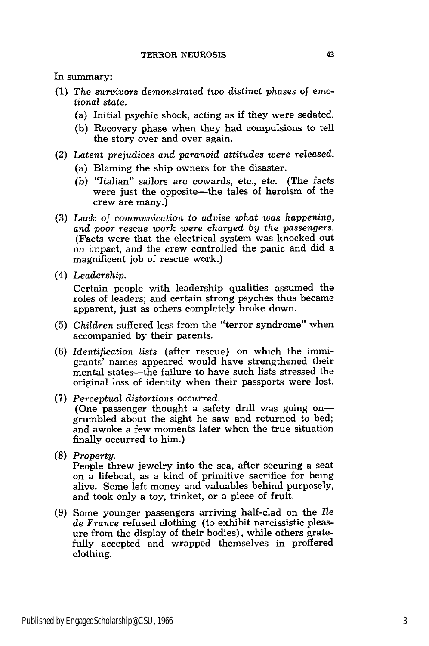In summary:

- (1) The *survivors demonstrated* two distinct phases of emo*tional state.*
	- (a) Initial psychic shock, acting as if they were sedated.
	- (b) Recovery phase when they had compulsions to tell the story over and over again.
- (2) *Latent prejudices and paranoid attitudes were released.*
	- (a) Blaming the ship owners for the disaster.
	- (b) "Italian" sailors are cowards, etc., etc. (The facts were just the opposite-the tales of heroism of the crew are many.)
- (3) *Lack of communication to advise what was happening, and* poor *rescue work were charged by the passengers.* (Facts were that the electrical system was knocked out on impact, and the crew controlled the panic and did a magnificent job of rescue work.)
- (4) *Leadership.*

Certain people with leadership qualities assumed the roles of leaders; and certain strong psyches thus became apparent, just as others completely broke down.

- (5) *Children* suffered less from the "terror syndrome" when accompanied by their parents.
- (6) *Identification lists* (after rescue) on which the immigrants' names appeared would have strengthened their mental states-the failure to have such lists stressed the original loss of identity when their passports were lost.
- (7) *Perceptual distortions occurred.* (One passenger thought a safety drill was going ongrumbled about the sight he saw and returned to bed; and awoke a few moments later when the true situation finally occurred to him.)
- (8) *Property.* People threw jewelry into the sea, after securing a seat on a lifeboat, as a kind of primitive sacrifice for being alive. Some left money and valuables behind purposely, and took only a toy, trinket, or a piece of fruit.
- (9) Some younger passengers arriving half-clad on the lie *de France* refused clothing (to exhibit narcissistic pleasure from the display of their bodies), while others gratefully accepted and wrapped themselves in proffered clothing.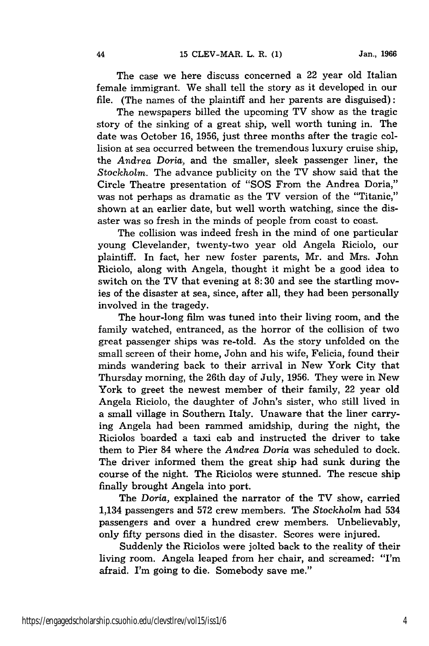44

The case we here discuss concerned a 22 year old Italian female immigrant. We shall tell the story as it developed in our file. (The names of the plaintiff and her parents are disguised):

The newspapers billed the upcoming TV show as the tragic story of the sinking of a great ship, well worth tuning in. The date was October 16, 1956, just three months after the tragic collision at sea occurred between the tremendous luxury cruise ship, the *Andrea Doria,* and the smaller, sleek passenger liner, the *Stockholm.* The advance publicity on the TV show said that the Circle Theatre presentation of "SOS From the Andrea Doria," was not perhaps as dramatic as the TV version of the "Titanic," shown at an earlier date, but well worth watching, since the disaster was so fresh in the minds of people from coast to coast.

The collision was indeed fresh in the mind of one particular young Clevelander, twenty-two year old Angela Riciolo, our plaintiff. In fact, her new foster parents, Mr. and Mrs. John Riciolo, along with Angela, thought it might be a good idea to switch on the TV that evening at 8:30 and see the startling movies of the disaster at sea, since, after all, they had been personally involved in the tragedy.

The hour-long film was tuned into their living room, and the family watched, entranced, as the horror of the collision of two great passenger ships was re-told. As the story unfolded on the small screen of their home, John and his wife, Felicia, found their minds wandering back to their arrival in New York City that Thursday morning, the 26th day of July, 1956. They were in New York to greet the newest member of their family, 22 year old Angela Riciolo, the daughter of John's sister, who still lived in a small village in Southern Italy. Unaware that the liner carrying Angela had been rammed amidship, during the night, the Riciolos boarded a taxi cab and instructed the driver to take them to Pier 84 where the *Andrea Doria* was scheduled to dock. The driver informed them the great ship had sunk during the course of the night. The Riciolos were stunned. The rescue ship finally brought Angela into port.

The *Doria,* explained the narrator of the TV show, carried 1,134 passengers and 572 crew members. The *Stockholm* had 534 passengers and over a hundred crew members. Unbelievably, only fifty persons died in the disaster. Scores were injured.

Suddenly the Riciolos were jolted back to the reality of their living room. Angela leaped from her chair, and screamed: "I'm afraid. I'm going to die. Somebody save me."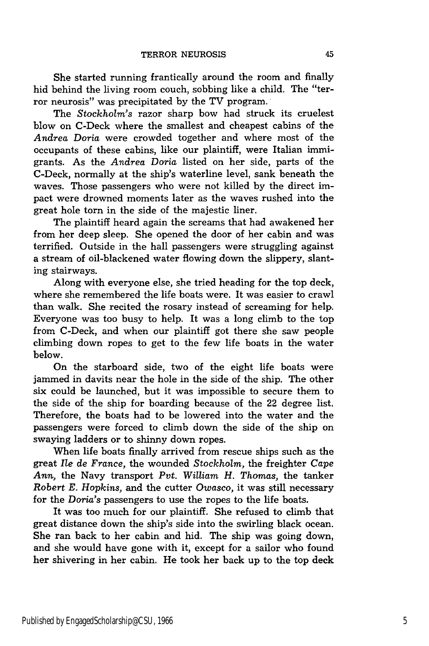She started running frantically around the room and finally hid behind the living room couch, sobbing like a child. The "terror neurosis" was precipitated by the TV program.

The *Stockholm's* razor sharp bow had struck its cruelest blow on C-Deck where the smallest and cheapest cabins of the *Andrea Doria* were crowded together and where most of the occupants of these cabins, like our plaintiff, were Italian immigrants. As the *Andrea Doria* listed on her side, parts of the C-Deck, normally at the ship's waterline level, sank beneath the waves. Those passengers who were not killed by the direct impact were drowned moments later as the waves rushed into the great hole torn in the side of the majestic liner.

The plaintiff heard again the screams that had awakened her from her deep sleep. She opened the door of her cabin and was terrified. Outside in the hall passengers were struggling against a stream of oil-blackened water flowing down the slippery, slanting stairways.

Along with everyone else, she tried heading for the top deck, where she remembered the life boats were. It was easier to crawl than walk. She recited the rosary instead of screaming for help. Everyone was too busy to help. It was a long climb to the top from C-Deck, and when our plaintiff got there she saw people climbing down ropes to get to the few life boats in the water below.

On the starboard side, two of the eight life boats were jammed in davits near the hole in the side of the ship. The other six could be launched, but it was impossible to secure them to the side of the ship for boarding because of the 22 degree list. Therefore, the boats had to be lowered into the water and the passengers were forced to climb down the side of the ship on swaying ladders or to shinny down ropes.

When life boats finally arrived from rescue ships such as the great *Ile de France,* the wounded *Stockholm,* the freighter Cape *Ann,* the Navy transport *Pvt. William H. Thomas,* the tanker *Robert E. Hopkins,* and the cutter *Owasco,* it was still necessary for the *Doria's* passengers to use the ropes to the life boats.

It was too much for our plaintiff. She refused to climb that great distance down the ship's side into the swirling black ocean. She ran back to her cabin and hid. The ship was going down, and she would have gone with it, except for a sailor who found her shivering in her cabin. He took her back up to the top deck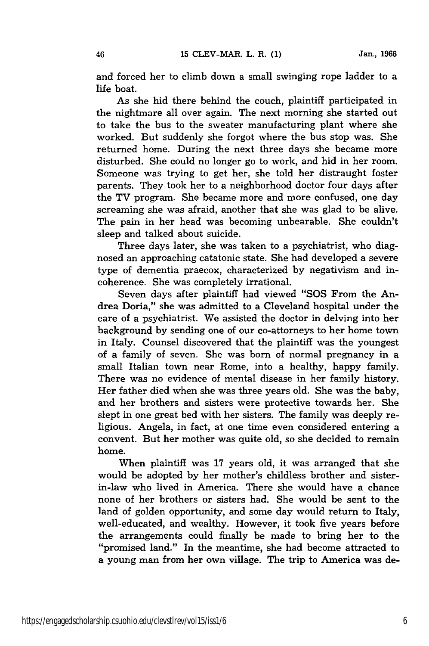46

and forced her to climb down a small swinging rope ladder to a life boat.

As she hid there behind the couch, plaintiff participated in the nightmare all over again. The next morning she started out to take the bus to the sweater manufacturing plant where she worked. But suddenly she forgot where the bus stop was. She returned home. During the next three days she became more disturbed. She could no longer go to work, and hid in her room. Someone was trying to get her, she told her distraught foster parents. They took her to a neighborhood doctor four days after the TV program. She became more and more confused, one day screaming she was afraid, another that she was glad to be alive. The pain in her head was becoming unbearable. She couldn't sleep and talked about suicide.

Three days later, she was taken to a psychiatrist, who diagnosed an approaching catatonic state. She had developed a severe type of dementia praecox, characterized by negativism and incoherence. She was completely irrational.

Seven days after plaintiff had viewed "SOS From the Andrea Doria," she was admitted to a Cleveland hospital under the care of a psychiatrist. We assisted the doctor in delving into her background by sending one of our co-attorneys to her home town in Italy. Counsel discovered that the plaintiff was the youngest of a family of seven. She was born of normal pregnancy in a small Italian town near Rome, into a healthy, happy family. There was no evidence of mental disease in her family history. Her father died when she was three years old. She was the baby, and her brothers and sisters were protective towards her. She slept in one great bed with her sisters. The family was deeply religious. Angela, in fact, at one time even considered entering a convent. But her mother was quite old, so she decided to remain home.

When plaintiff was 17 years old, it was arranged that she would be adopted by her mother's childless brother and sisterin-law who lived in America. There she would have a chance none of her brothers or sisters had. She would be sent to the land of golden opportunity, and some day would return to Italy, well-educated, and wealthy. However, it took five years before the arrangements could finally be made to bring her to the "promised land." In the meantime, she had become attracted to a young man from her own village. The trip to America was de-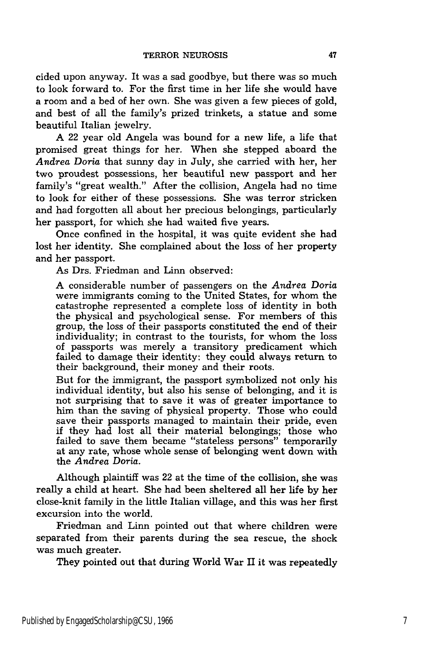cided upon anyway. It was a sad goodbye, but there was so much to look forward to. For the first time in her life she would have a room and a bed of her own. She was given a few pieces of gold, and best of all the family's prized trinkets, a statue and some beautiful Italian jewelry.

A 22 year old Angela was bound for a new life, a life that promised great things for her. When she stepped aboard the *Andrea Doria* that sunny day in July, she carried with her, her two proudest possessions, her beautiful new passport and her family's "great wealth." After the collision, Angela had no time to look for either of these possessions. She was terror stricken and had forgotten all about her precious belongings, particularly her passport, for which she had waited five years.

Once confined in the hospital, it was quite evident she had lost her identity. She complained about the loss of her property and her passport.

As Drs. Friedman and Linn observed:

A considerable number of passengers on the *Andrea Doria* were immigrants coming to the United States, for whom the catastrophe represented a complete loss of identity in both the physical and psychological sense. For members of this group, the loss of their passports constituted the end of their individuality; in contrast to the tourists, for whom the loss of passports was merely a transitory predicament which failed to damage their identity: they could always return to their background, their money and their roots.

But for the immigrant, the passport symbolized not only his individual identity, but also his sense of belonging, and it is not surprising that to save it was of greater importance to him than the saving of physical property. Those who could save their passports managed to maintain their pride, even if they had lost all their material belongings; those who failed to save them became "stateless persons" temporarily at any rate, whose whole sense of belonging went down with the *Andrea Doria.*

Although plaintiff was 22 at the time of the collision, she was really a child at heart. She had been sheltered all her life by her close-knit family in the little Italian village, and this was her first excursion into the world.

Friedman and Linn pointed out that where children were separated from their parents during the sea rescue, the shock was much greater.

They pointed out that during World War II it was repeatedly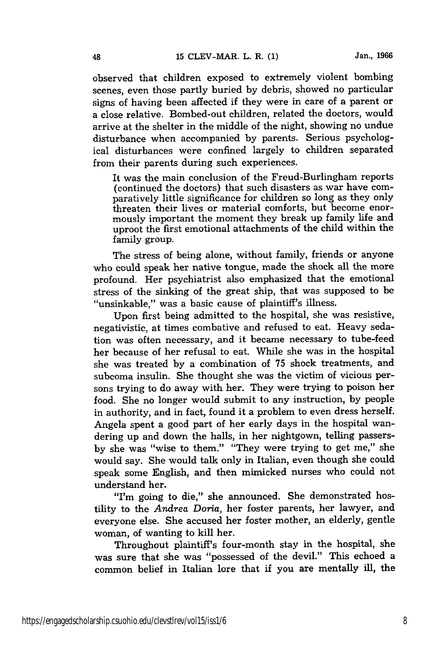observed that children exposed to extremely violent bombing scenes, even those partly buried by debris, showed no particular signs of having been affected if they were in care of a parent or a close relative. Bombed-out children, related the doctors, would arrive at the shelter in the middle of the night, showing no undue disturbance when accompanied by parents. Serious psychological disturbances were confined largely to children separated from their parents during such experiences.

It was the main conclusion of the Freud-Burlingham reports (continued the doctors) that such disasters as war have comparatively little significance for children so long as they only threaten their lives or material comforts, but become enormously important the moment they break up family life and uproot the first emotional attachments of the child within the family group.

The stress of being alone, without family, friends or anyone who could speak her native tongue, made the shock all the more profound. Her psychiatrist also emphasized that the emotional stress of the sinking of the great ship, that was supposed to be "unsinkable," was a basic cause of plaintiff's illness.

Upon first being admitted to the hospital, she was resistive, negativistic, at times combative and refused to eat. Heavy sedation was often necessary, and it became necessary to tube-feed her because of her refusal to eat. While she was in the hospital she was treated by a combination of 75 shock treatments, and subcoma insulin. She thought she was the victim of vicious persons trying to do away with her. They were trying to poison her food. She no longer would submit to any instruction, by people in authority, and in fact, found it a problem to even dress herself. Angela spent a good part of her early days in the hospital wandering up and down the halls, in her nightgown, telling passersby she was "wise to them." "They were trying to get me," she would say. She would talk only in Italian, even though she could speak some English, and then mimicked nurses who could not understand her.

"I'm going to die," she announced. She demonstrated hostility to the *Andrea Doria,* her foster parents, her lawyer, and everyone else. She accused her foster mother, an elderly, gentle woman, of wanting to kill her.

Throughout plaintiff's four-month stay in the hospital, she was sure that she was "possessed of the devil." This echoed a common belief in Italian lore that if you are mentally ill, the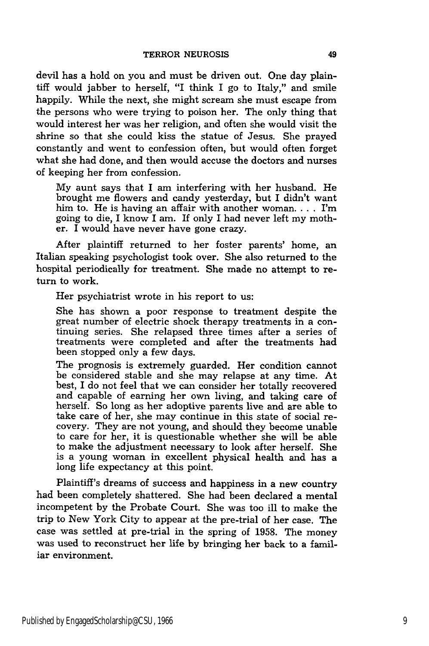devil has a hold on you and must be driven out. One day plaintiff would jabber to herself, "I think I go to Italy," and smile happily. While the next, she might scream she must escape from the persons who were trying to poison her. The only thing that would interest her was her religion, and often she would visit the shrine so that she could kiss the statue of Jesus. She prayed constantly and went to confession often, but would often forget what she had done, and then would accuse the doctors and nurses of keeping her from confession.

My aunt says that I am interfering with her husband. He brought me flowers and candy yesterday, but I didn't want him to. He is having an affair with another woman. . **.** . I'm going to die, I know I am. If only I had never left my mother. I would have never have gone crazy.

After plaintiff returned to her foster parents' home, an Italian speaking psychologist took over. She also returned to the hospital periodically for treatment. She made no attempt to return to work.

Her psychiatrist wrote in his report to us:

She has shown a poor response to treatment despite the great number of electric shock therapy treatments in a continuing series. She relapsed three times after a series of treatments were completed and after the treatments had been stopped only a few days.

The prognosis is extremely guarded. Her condition cannot be considered stable and she may relapse at any time. At best, I do not feel that we can consider her totally recovered and capable of earning her own living, and taking care of herself. So long as her adoptive parents live and are able to take care of her, she may continue in this state of social recovery. They are not young, and should they become unable to care for her, it is questionable whether she will be able to make the adjustment necessary to look after herself. She is a young woman in excellent physical health and has a long life expectancy at this point.

Plaintiff's dreams of success and happiness in a new country had been completely shattered. She had been declared a mental incompetent by the Probate Court. She was too ill to make the trip to New York City to appear at the pre-trial of her case. The case was settled at pre-trial in the spring of 1958. The money was used to reconstruct her life by bringing her back to a familiar environment.